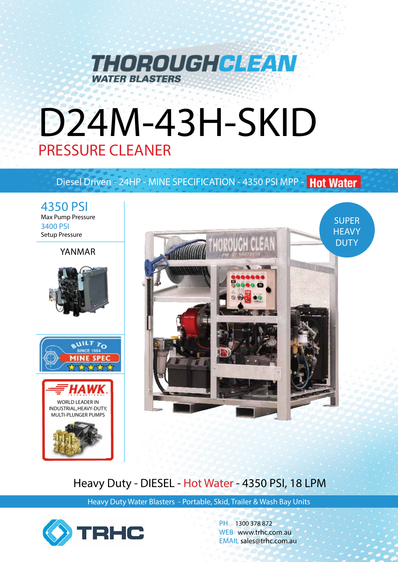

# D24M-43H-SKID PRESSURE CLEANER

# Diesel Driven - 24HP - MINE SPECIFICATION - 4350 PSI MPP - Hot Water

4350 PSI Max Pump Pressure 3400 PSI Setup Pressure

### YANMAR







# Heavy Duty - DIESEL - Hot Water - 4350 PSI, 18 LPM

Heavy Duty Water Blasters - Portable, Skid, Trailer & Wash Bay Units



PH 1300 378 872 WEB www.trhc.com.au EMAIL sales@trhc.com.au